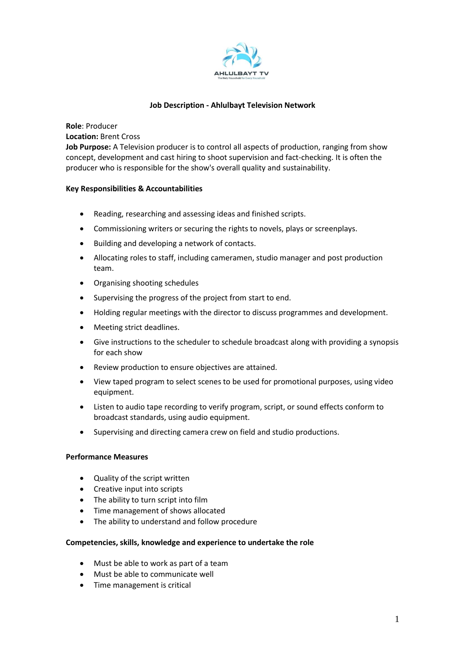

# **Job Description - Ahlulbayt Television Network**

**Location:** Brent Cross **Job Purpose:** A Television producer is to control all aspects of production, ranging from show concept, development and cast hiring to shoot supervision and fact-checking. It is often the producer who is responsible for the show's overall quality and sustainability.

## **Key Responsibilities & Accountabilities**

**Role**: Producer

- Reading, researching and assessing ideas and finished scripts.
- Commissioning writers or securing the rights to novels, plays or screenplays.
- Building and developing a network of contacts.
- Allocating roles to staff, including cameramen, studio manager and post production team.
- Organising shooting schedules
- Supervising the progress of the project from start to end.
- Holding regular meetings with the director to discuss programmes and development.
- Meeting strict deadlines.
- Give instructions to the scheduler to schedule broadcast along with providing a synopsis for each show
- Review production to ensure objectives are attained.
- View taped program to select scenes to be used for promotional purposes, using video equipment.
- Listen to audio tape recording to verify program, script, or sound effects conform to broadcast standards, using audio equipment.
- Supervising and directing camera crew on field and studio productions.

# **Performance Measures**

- Quality of the script written
- Creative input into scripts
- The ability to turn script into film
- Time management of shows allocated
- The ability to understand and follow procedure

## **Competencies, skills, knowledge and experience to undertake the role**

- Must be able to work as part of a team
- Must be able to communicate well
- Time management is critical